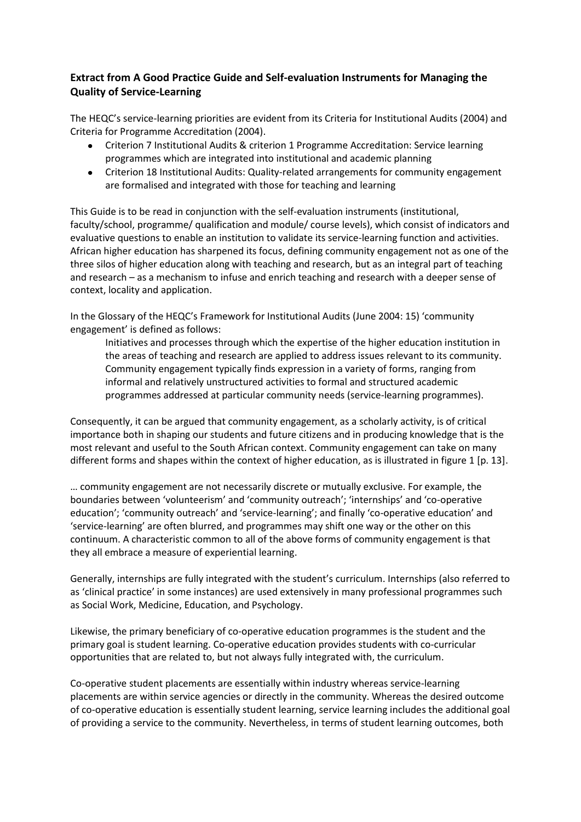## **Extract from A Good Practice Guide and Self-evaluation Instruments for Managing the Quality of Service-Learning**

The HEQC's service-learning priorities are evident from its Criteria for Institutional Audits (2004) and Criteria for Programme Accreditation (2004).

- Criterion 7 Institutional Audits & criterion 1 Programme Accreditation: Service learning programmes which are integrated into institutional and academic planning
- Criterion 18 Institutional Audits: Quality-related arrangements for community engagement are formalised and integrated with those for teaching and learning

This Guide is to be read in conjunction with the self-evaluation instruments (institutional, faculty/school, programme/ qualification and module/ course levels), which consist of indicators and evaluative questions to enable an institution to validate its service-learning function and activities. African higher education has sharpened its focus, defining community engagement not as one of the three silos of higher education along with teaching and research, but as an integral part of teaching and research – as a mechanism to infuse and enrich teaching and research with a deeper sense of context, locality and application.

In the Glossary of the HEQC's Framework for Institutional Audits (June 2004: 15) 'community engagement' is defined as follows:

Initiatives and processes through which the expertise of the higher education institution in the areas of teaching and research are applied to address issues relevant to its community. Community engagement typically finds expression in a variety of forms, ranging from informal and relatively unstructured activities to formal and structured academic programmes addressed at particular community needs (service-learning programmes).

Consequently, it can be argued that community engagement, as a scholarly activity, is of critical importance both in shaping our students and future citizens and in producing knowledge that is the most relevant and useful to the South African context. Community engagement can take on many different forms and shapes within the context of higher education, as is illustrated in figure 1 [p. 13].

… community engagement are not necessarily discrete or mutually exclusive. For example, the boundaries between 'volunteerism' and 'community outreach'; 'internships' and 'co-operative education'; 'community outreach' and 'service-learning'; and finally 'co-operative education' and 'service-learning' are often blurred, and programmes may shift one way or the other on this continuum. A characteristic common to all of the above forms of community engagement is that they all embrace a measure of experiential learning.

Generally, internships are fully integrated with the student's curriculum. Internships (also referred to as 'clinical practice' in some instances) are used extensively in many professional programmes such as Social Work, Medicine, Education, and Psychology.

Likewise, the primary beneficiary of co-operative education programmes is the student and the primary goal is student learning. Co-operative education provides students with co-curricular opportunities that are related to, but not always fully integrated with, the curriculum.

Co-operative student placements are essentially within industry whereas service-learning placements are within service agencies or directly in the community. Whereas the desired outcome of co-operative education is essentially student learning, service learning includes the additional goal of providing a service to the community. Nevertheless, in terms of student learning outcomes, both